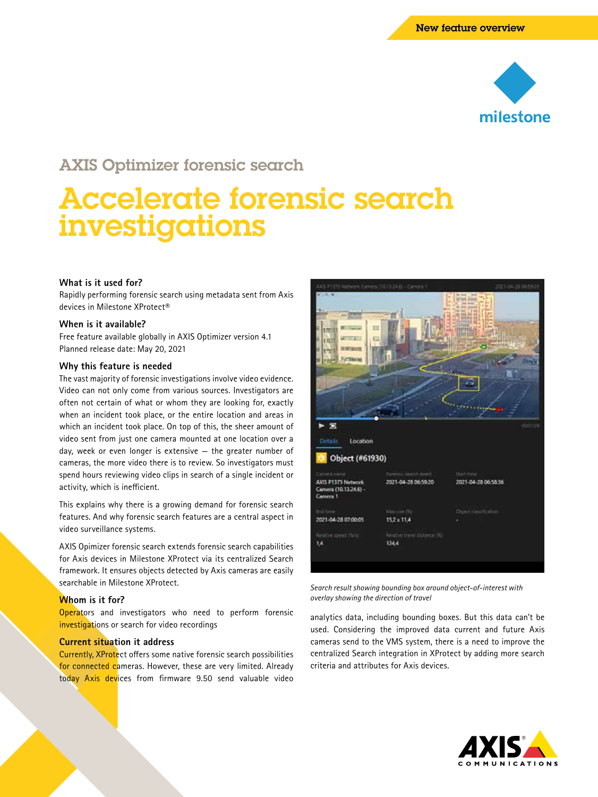

# AXIS Optimizer forensic search

# Accelerate forensic search investigations

# **What is it used for?**

Rapidly performing forensic search using metadata sent from Axis devices in Milestone XProtect®

#### **When is it available?**

Free feature available globally in AXIS Optimizer version 4.1 Planned release date: May 20, 2021

#### **Why this feature is needed**

The vast majority of forensic investigations involve video evidence. Video can not only come from various sources. Investigators are often not certain of what or whom they are looking for, exactly when an incident took place, or the entire location and areas in which an incident took place. On top of this, the sheer amount of video sent from just one camera mounted at one location over a day, week or even longer is extensive — the greater number of cameras, the more video there is to review. So investigators must spend hours reviewing video clips in search of a single incident or activity, which is inefficient.

This explains why there is a growing demand for forensic search features. And why forensic search features are a central aspect in video surveillance systems.

AXIS Opimizer forensic search extends forensic search capabilities for Axis devices in Milestone XProtect via its centralized Search framework. It ensures objects detected by Axis cameras are easily searchable in Milestone XProtect.

# **Whom is it for?**

**Operators** and investigators who need to perform forensic investigations or search for video recordings

#### **Current situation it address**

Currently, XProtect offers some native forensic search possibilities for connected cameras. However, these are very limited. Already today Axis devices from firmware 9.50 send valuable video



*Search result showing bounding box around object-of-interest with overlay showing the direction of travel*

analytics data, including bounding boxes. But this data can't be used. Considering the improved data current and future Axis cameras send to the VMS system, there is a need to improve the centralized Search integration in XProtect by adding more search criteria and attributes for Axis devices.